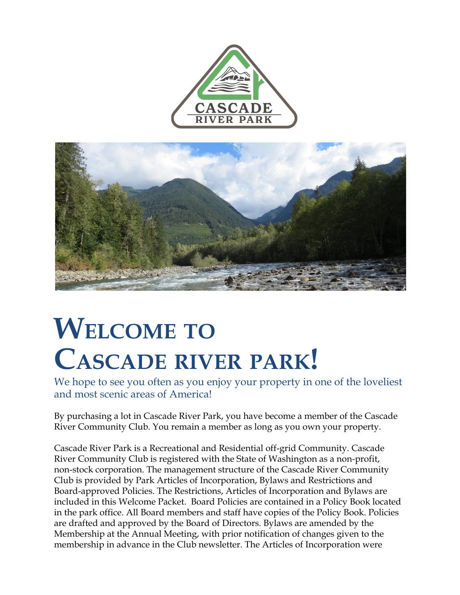



## **WELCOME TO CASCADE RIVER PARK!**

We hope to see you often as you enjoy your property in one of the loveliest and most scenic areas of America!

By purchasing a lot in Cascade River Park, you have become a member of the Cascade River Community Club. You remain a member as long as you own your property.

Cascade River Park is a Recreational and Residential off-grid Community. Cascade River Community Club is registered with the State of Washington as a non-profit, non-stock corporation. The management structure of the Cascade River Community Club is provided by Park Articles of Incorporation, Bylaws and Restrictions and Board-approved Policies. The Restrictions, Articles of Incorporation and Bylaws are included in this Welcome Packet. Board Policies are contained in a Policy Book located in the park office. All Board members and staff have copies of the Policy Book. Policies are drafted and approved by the Board of Directors. Bylaws are amended by the Membership at the Annual Meeting, with prior notification of changes given to the membership in advance in the Club newsletter. The Articles of Incorporation were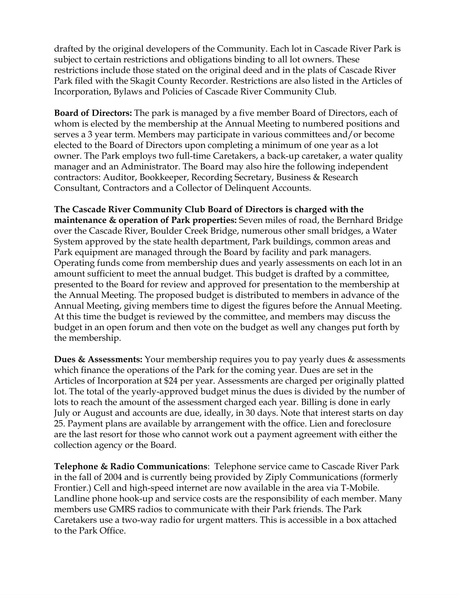drafted by the original developers of the Community. Each lot in Cascade River Park is subject to certain restrictions and obligations binding to all lot owners. These restrictions include those stated on the original deed and in the plats of Cascade River Park filed with the Skagit County Recorder. Restrictions are also listed in the Articles of Incorporation, Bylaws and Policies of Cascade River Community Club.

**Board of Directors:** The park is managed by a five member Board of Directors, each of whom is elected by the membership at the Annual Meeting to numbered positions and serves a 3 year term. Members may participate in various committees and/or become elected to the Board of Directors upon completing a minimum of one year as a lot owner. The Park employs two full-time Caretakers, a back-up caretaker, a water quality manager and an Administrator. The Board may also hire the following independent contractors: Auditor, Bookkeeper, Recording Secretary, Business & Research Consultant, Contractors and a Collector of Delinquent Accounts.

#### **The Cascade River Community Club Board of Directors is charged with the**

**maintenance & operation of Park properties:** Seven miles of road, the Bernhard Bridge over the Cascade River, Boulder Creek Bridge, numerous other small bridges, a Water System approved by the state health department, Park buildings, common areas and Park equipment are managed through the Board by facility and park managers. Operating funds come from membership dues and yearly assessments on each lot in an amount sufficient to meet the annual budget. This budget is drafted by a committee, presented to the Board for review and approved for presentation to the membership at the Annual Meeting. The proposed budget is distributed to members in advance of the Annual Meeting, giving members time to digest the figures before the Annual Meeting. At this time the budget is reviewed by the committee, and members may discuss the budget in an open forum and then vote on the budget as well any changes put forth by the membership.

**Dues & Assessments:** Your membership requires you to pay yearly dues & assessments which finance the operations of the Park for the coming year. Dues are set in the Articles of Incorporation at \$24 per year. Assessments are charged per originally platted lot. The total of the yearly-approved budget minus the dues is divided by the number of lots to reach the amount of the assessment charged each year. Billing is done in early July or August and accounts are due, ideally, in 30 days. Note that interest starts on day 25. Payment plans are available by arrangement with the office. Lien and foreclosure are the last resort for those who cannot work out a payment agreement with either the collection agency or the Board.

**Telephone & Radio Communications**: Telephone service came to Cascade River Park in the fall of 2004 and is currently being provided by Ziply Communications (formerly Frontier.) Cell and high-speed internet are now available in the area via T-Mobile. Landline phone hook-up and service costs are the responsibility of each member. Many members use GMRS radios to communicate with their Park friends. The Park Caretakers use a two-way radio for urgent matters. This is accessible in a box attached to the Park Office.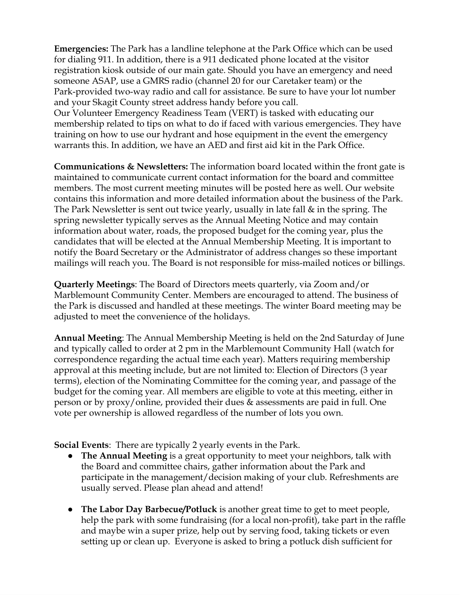**Emergencies:** The Park has a landline telephone at the Park Office which can be used for dialing 911. In addition, there is a 911 dedicated phone located at the visitor registration kiosk outside of our main gate. Should you have an emergency and need someone ASAP, use a GMRS radio (channel 20 for our Caretaker team) or the Park-provided two-way radio and call for assistance. Be sure to have your lot number and your Skagit County street address handy before you call. Our Volunteer Emergency Readiness Team (VERT) is tasked with educating our membership related to tips on what to do if faced with various emergencies. They have training on how to use our hydrant and hose equipment in the event the emergency warrants this. In addition, we have an AED and first aid kit in the Park Office.

**Communications & Newsletters:** The information board located within the front gate is maintained to communicate current contact information for the board and committee members. The most current meeting minutes will be posted here as well. Our website contains this information and more detailed information about the business of the Park. The Park Newsletter is sent out twice yearly, usually in late fall & in the spring. The spring newsletter typically serves as the Annual Meeting Notice and may contain information about water, roads, the proposed budget for the coming year, plus the candidates that will be elected at the Annual Membership Meeting. It is important to notify the Board Secretary or the Administrator of address changes so these important mailings will reach you. The Board is not responsible for miss-mailed notices or billings.

**Quarterly Meetings**: The Board of Directors meets quarterly, via Zoom and/or Marblemount Community Center. Members are encouraged to attend. The business of the Park is discussed and handled at these meetings. The winter Board meeting may be adjusted to meet the convenience of the holidays.

**Annual Meeting**: The Annual Membership Meeting is held on the 2nd Saturday of June and typically called to order at 2 pm in the Marblemount Community Hall (watch for correspondence regarding the actual time each year). Matters requiring membership approval at this meeting include, but are not limited to: Election of Directors (3 year terms), election of the Nominating Committee for the coming year, and passage of the budget for the coming year. All members are eligible to vote at this meeting, either in person or by proxy/online, provided their dues & assessments are paid in full. One vote per ownership is allowed regardless of the number of lots you own.

**Social Events**: There are typically 2 yearly events in the Park.

- **The Annual Meeting** is a great opportunity to meet your neighbors, talk with the Board and committee chairs, gather information about the Park and participate in the management/decision making of your club. Refreshments are usually served. Please plan ahead and attend!
- **The Labor Day Barbecue/Potluck** is another great time to get to meet people, help the park with some fundraising (for a local non-profit), take part in the raffle and maybe win a super prize, help out by serving food, taking tickets or even setting up or clean up. Everyone is asked to bring a potluck dish sufficient for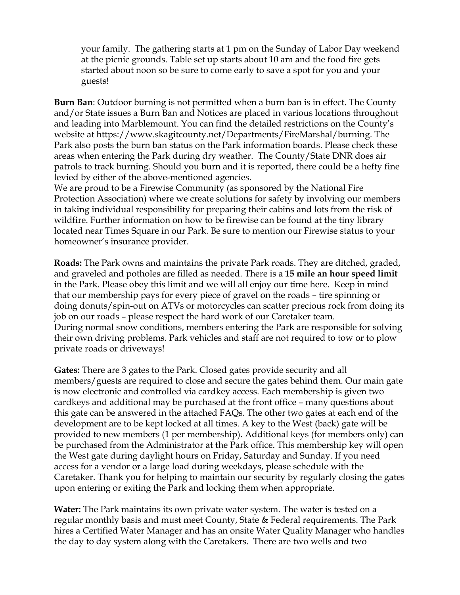your family. The gathering starts at 1 pm on the Sunday of Labor Day weekend at the picnic grounds. Table set up starts about 10 am and the food fire gets started about noon so be sure to come early to save a spot for you and your guests!

**Burn Ban**: Outdoor burning is not permitted when a burn ban is in effect. The County and/or State issues a Burn Ban and Notices are placed in various locations throughout and leading into Marblemount. You can find the detailed restrictions on the County's website at https://www.skagitcounty.net/Departments/FireMarshal/burning. The Park also posts the burn ban status on the Park information boards. Please check these areas when entering the Park during dry weather. The County/State DNR does air patrols to track burning. Should you burn and it is reported, there could be a hefty fine levied by either of the above-mentioned agencies.

We are proud to be a Firewise Community (as sponsored by the National Fire Protection Association) where we create solutions for safety by involving our members in taking individual responsibility for preparing their cabins and lots from the risk of wildfire. Further information on how to be firewise can be found at the tiny library located near Times Square in our Park. Be sure to mention our Firewise status to your homeowner's insurance provider.

**Roads:** The Park owns and maintains the private Park roads. They are ditched, graded, and graveled and potholes are filled as needed. There is a **15 mile an hour speed limit** in the Park. Please obey this limit and we will all enjoy our time here. Keep in mind that our membership pays for every piece of gravel on the roads – tire spinning or doing donuts/spin-out on ATVs or motorcycles can scatter precious rock from doing its job on our roads – please respect the hard work of our Caretaker team. During normal snow conditions, members entering the Park are responsible for solving their own driving problems. Park vehicles and staff are not required to tow or to plow private roads or driveways!

**Gates:** There are 3 gates to the Park. Closed gates provide security and all members/guests are required to close and secure the gates behind them. Our main gate is now electronic and controlled via cardkey access. Each membership is given two cardkeys and additional may be purchased at the front office – many questions about this gate can be answered in the attached FAQs. The other two gates at each end of the development are to be kept locked at all times. A key to the West (back) gate will be provided to new members (1 per membership). Additional keys (for members only) can be purchased from the Administrator at the Park office. This membership key will open the West gate during daylight hours on Friday, Saturday and Sunday. If you need access for a vendor or a large load during weekdays, please schedule with the Caretaker. Thank you for helping to maintain our security by regularly closing the gates upon entering or exiting the Park and locking them when appropriate.

**Water:** The Park maintains its own private water system. The water is tested on a regular monthly basis and must meet County, State & Federal requirements. The Park hires a Certified Water Manager and has an onsite Water Quality Manager who handles the day to day system along with the Caretakers. There are two wells and two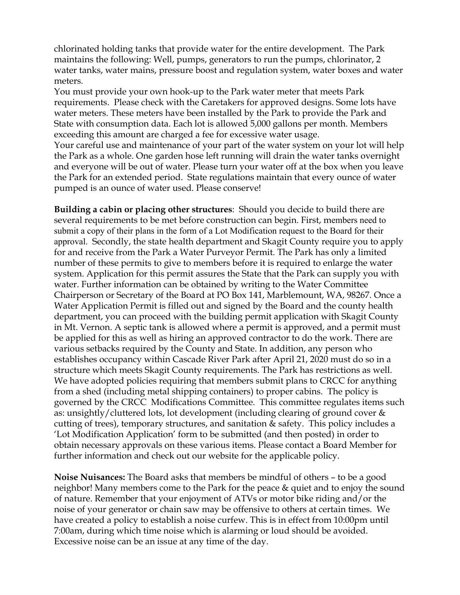chlorinated holding tanks that provide water for the entire development. The Park maintains the following: Well, pumps, generators to run the pumps, chlorinator, 2 water tanks, water mains, pressure boost and regulation system, water boxes and water meters.

You must provide your own hook-up to the Park water meter that meets Park requirements. Please check with the Caretakers for approved designs. Some lots have water meters. These meters have been installed by the Park to provide the Park and State with consumption data. Each lot is allowed 5,000 gallons per month. Members exceeding this amount are charged a fee for excessive water usage. Your careful use and maintenance of your part of the water system on your lot will help the Park as a whole. One garden hose left running will drain the water tanks overnight and everyone will be out of water. Please turn your water off at the box when you leave the Park for an extended period. State regulations maintain that every ounce of water pumped is an ounce of water used. Please conserve!

**Building a cabin or placing other structures**: Should you decide to build there are several requirements to be met before construction can begin. First, members need to submit a copy of their plans in the form of a Lot Modification request to the Board for their approval. Secondly, the state health department and Skagit County require you to apply for and receive from the Park a Water Purveyor Permit. The Park has only a limited number of these permits to give to members before it is required to enlarge the water system. Application for this permit assures the State that the Park can supply you with water. Further information can be obtained by writing to the Water Committee Chairperson or Secretary of the Board at PO Box 141, Marblemount, WA, 98267. Once a Water Application Permit is filled out and signed by the Board and the county health department, you can proceed with the building permit application with Skagit County in Mt. Vernon. A septic tank is allowed where a permit is approved, and a permit must be applied for this as well as hiring an approved contractor to do the work. There are various setbacks required by the County and State. In addition, any person who establishes occupancy within Cascade River Park after April 21, 2020 must do so in a structure which meets Skagit County requirements. The Park has restrictions as well. We have adopted policies requiring that members submit plans to CRCC for anything from a shed (including metal shipping containers) to proper cabins. The policy is governed by the CRCC Modifications Committee. This committee regulates items such as: unsightly/cluttered lots, lot development (including clearing of ground cover & cutting of trees), temporary structures, and sanitation & safety. This policy includes a 'Lot Modification Application' form to be submitted (and then posted) in order to obtain necessary approvals on these various items. Please contact a Board Member for further information and check out our website for the applicable policy.

**Noise Nuisances:** The Board asks that members be mindful of others – to be a good neighbor! Many members come to the Park for the peace & quiet and to enjoy the sound of nature. Remember that your enjoyment of ATVs or motor bike riding and/or the noise of your generator or chain saw may be offensive to others at certain times. We have created a policy to establish a noise curfew. This is in effect from 10:00pm until 7:00am, during which time noise which is alarming or loud should be avoided. Excessive noise can be an issue at any time of the day.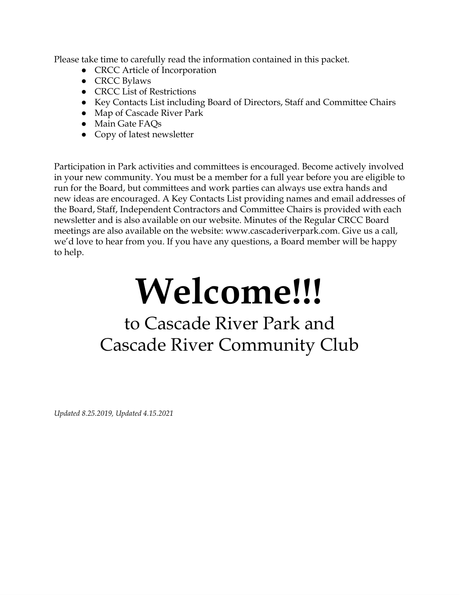Please take time to carefully read the information contained in this packet.

- CRCC Article of Incorporation
- CRCC Bylaws
- CRCC List of Restrictions
- Key Contacts List including Board of Directors, Staff and Committee Chairs
- Map of Cascade River Park
- Main Gate FAQs
- Copy of latest newsletter

Participation in Park activities and committees is encouraged. Become actively involved in your new community. You must be a member for a full year before you are eligible to run for the Board, but committees and work parties can always use extra hands and new ideas are encouraged. A Key Contacts List providing names and email addresses of the Board, Staff, Independent Contractors and Committee Chairs is provided with each newsletter and is also available on our website. Minutes of the Regular CRCC Board meetings are also available on the website: www.cascaderiverpark.com. Give us a call, we'd love to hear from you. If you have any questions, a Board member will be happy to help.

# **Welcome!!!**

## to Cascade River Park and Cascade River Community Club

*Updated 8.25.2019, Updated 4.15.2021*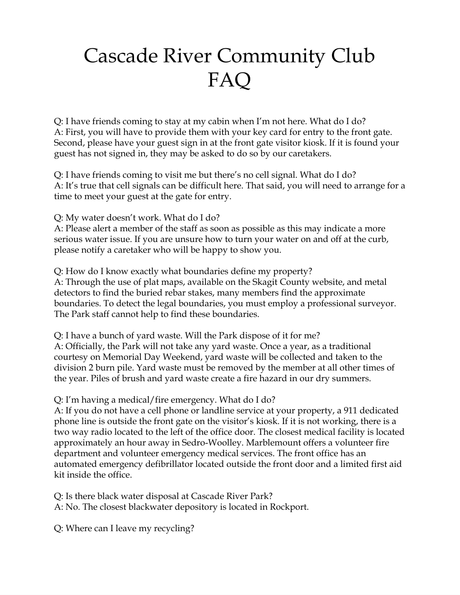## Cascade River Community Club FAQ

Q: I have friends coming to stay at my cabin when I'm not here. What do I do? A: First, you will have to provide them with your key card for entry to the front gate. Second, please have your guest sign in at the front gate visitor kiosk. If it is found your guest has not signed in, they may be asked to do so by our caretakers.

Q: I have friends coming to visit me but there's no cell signal. What do I do? A: It's true that cell signals can be difficult here. That said, you will need to arrange for a time to meet your guest at the gate for entry.

Q: My water doesn't work. What do I do?

A: Please alert a member of the staff as soon as possible as this may indicate a more serious water issue. If you are unsure how to turn your water on and off at the curb, please notify a caretaker who will be happy to show you.

Q: How do I know exactly what boundaries define my property? A: Through the use of plat maps, available on the Skagit County website, and metal detectors to find the buried rebar stakes, many members find the approximate boundaries. To detect the legal boundaries, you must employ a professional surveyor. The Park staff cannot help to find these boundaries.

Q: I have a bunch of yard waste. Will the Park dispose of it for me? A: Officially, the Park will not take any yard waste. Once a year, as a traditional courtesy on Memorial Day Weekend, yard waste will be collected and taken to the division 2 burn pile. Yard waste must be removed by the member at all other times of the year. Piles of brush and yard waste create a fire hazard in our dry summers.

Q: I'm having a medical/fire emergency. What do I do?

A: If you do not have a cell phone or landline service at your property, a 911 dedicated phone line is outside the front gate on the visitor's kiosk. If it is not working, there is a two way radio located to the left of the office door. The closest medical facility is located approximately an hour away in Sedro-Woolley. Marblemount offers a volunteer fire department and volunteer emergency medical services. The front office has an automated emergency defibrillator located outside the front door and a limited first aid kit inside the office.

Q: Is there black water disposal at Cascade River Park?

A: No. The closest blackwater depository is located in Rockport.

Q: Where can I leave my recycling?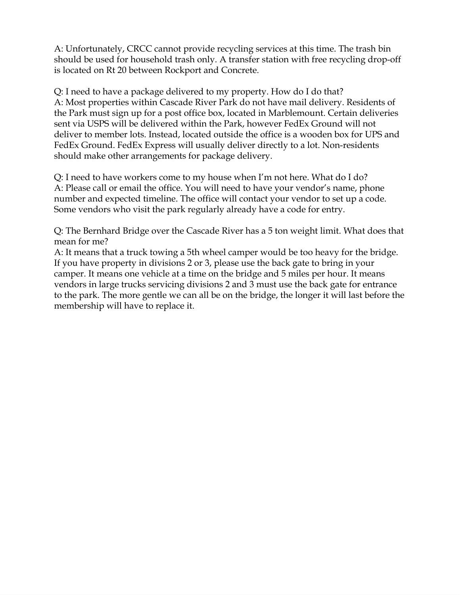A: Unfortunately, CRCC cannot provide recycling services at this time. The trash bin should be used for household trash only. A transfer station with free recycling drop-off is located on Rt 20 between Rockport and Concrete.

Q: I need to have a package delivered to my property. How do I do that? A: Most properties within Cascade River Park do not have mail delivery. Residents of the Park must sign up for a post office box, located in Marblemount. Certain deliveries sent via USPS will be delivered within the Park, however FedEx Ground will not deliver to member lots. Instead, located outside the office is a wooden box for UPS and FedEx Ground. FedEx Express will usually deliver directly to a lot. Non-residents should make other arrangements for package delivery.

Q: I need to have workers come to my house when I'm not here. What do I do? A: Please call or email the office. You will need to have your vendor's name, phone number and expected timeline. The office will contact your vendor to set up a code. Some vendors who visit the park regularly already have a code for entry.

Q: The Bernhard Bridge over the Cascade River has a 5 ton weight limit. What does that mean for me?

A: It means that a truck towing a 5th wheel camper would be too heavy for the bridge. If you have property in divisions 2 or 3, please use the back gate to bring in your camper. It means one vehicle at a time on the bridge and 5 miles per hour. It means vendors in large trucks servicing divisions 2 and 3 must use the back gate for entrance to the park. The more gentle we can all be on the bridge, the longer it will last before the membership will have to replace it.